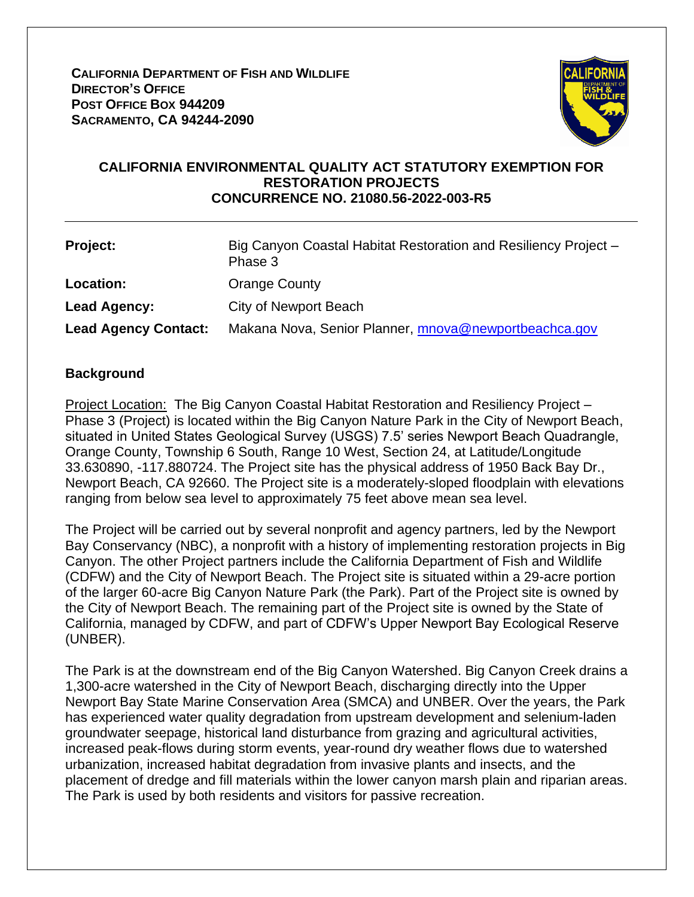**CALIFORNIA DEPARTMENT OF FISH AND WILDLIFE DIRECTOR'S OFFICE POST OFFICE BOX 944209 SACRAMENTO, CA 94244-2090**



### **CALIFORNIA ENVIRONMENTAL QUALITY ACT STATUTORY EXEMPTION FOR RESTORATION PROJECTS CONCURRENCE NO. 21080.56-2022-003-R5**

| Project:                    | Big Canyon Coastal Habitat Restoration and Resiliency Project -<br>Phase 3 |
|-----------------------------|----------------------------------------------------------------------------|
| <b>Location:</b>            | <b>Orange County</b>                                                       |
| Lead Agency:                | City of Newport Beach                                                      |
| <b>Lead Agency Contact:</b> | Makana Nova, Senior Planner, mnova@newportbeachca.gov                      |

### **Background**

Project Location: The Big Canyon Coastal Habitat Restoration and Resiliency Project -Phase 3 (Project) is located within the Big Canyon Nature Park in the City of Newport Beach, situated in United States Geological Survey (USGS) 7.5' series Newport Beach Quadrangle, Orange County, Township 6 South, Range 10 West, Section 24, at Latitude/Longitude 33.630890, -117.880724. The Project site has the physical address of 1950 Back Bay Dr., Newport Beach, CA 92660. The Project site is a moderately-sloped floodplain with elevations ranging from below sea level to approximately 75 feet above mean sea level.

The Project will be carried out by several nonprofit and agency partners, led by the Newport Bay Conservancy (NBC), a nonprofit with a history of implementing restoration projects in Big Canyon. The other Project partners include the California Department of Fish and Wildlife (CDFW) and the City of Newport Beach. The Project site is situated within a 29-acre portion of the larger 60-acre Big Canyon Nature Park (the Park). Part of the Project site is owned by the City of Newport Beach. The remaining part of the Project site is owned by the State of California, managed by CDFW, and part of CDFW's Upper Newport Bay Ecological Reserve (UNBER).

The Park is at the downstream end of the Big Canyon Watershed. Big Canyon Creek drains a 1,300-acre watershed in the City of Newport Beach, discharging directly into the Upper Newport Bay State Marine Conservation Area (SMCA) and UNBER. Over the years, the Park has experienced water quality degradation from upstream development and selenium-laden groundwater seepage, historical land disturbance from grazing and agricultural activities, increased peak-flows during storm events, year-round dry weather flows due to watershed urbanization, increased habitat degradation from invasive plants and insects, and the placement of dredge and fill materials within the lower canyon marsh plain and riparian areas. The Park is used by both residents and visitors for passive recreation.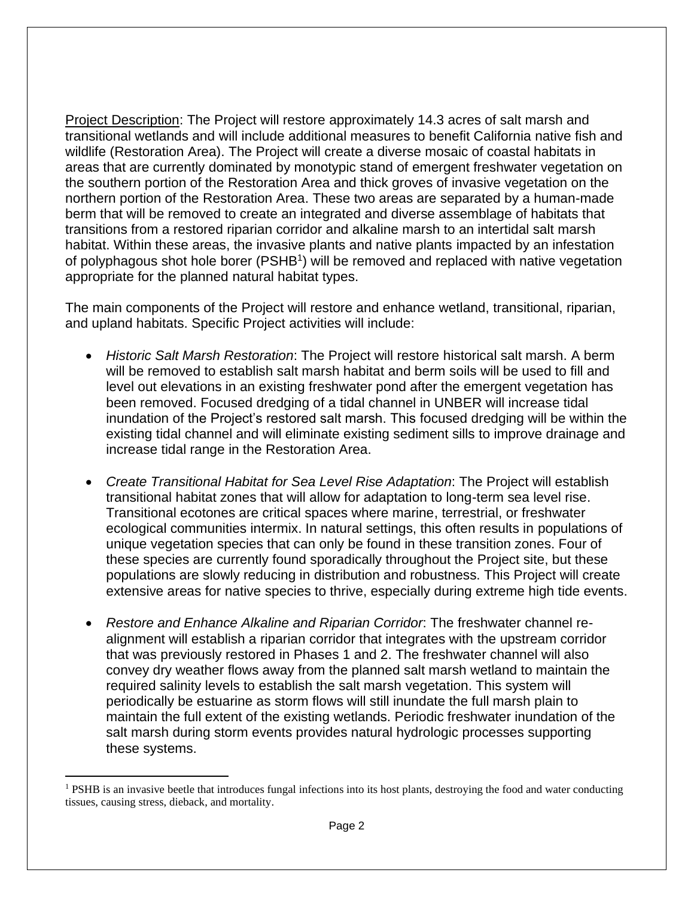Project Description: The Project will restore approximately 14.3 acres of salt marsh and transitional wetlands and will include additional measures to benefit California native fish and wildlife (Restoration Area). The Project will create a diverse mosaic of coastal habitats in areas that are currently dominated by monotypic stand of emergent freshwater vegetation on the southern portion of the Restoration Area and thick groves of invasive vegetation on the northern portion of the Restoration Area. These two areas are separated by a human-made berm that will be removed to create an integrated and diverse assemblage of habitats that transitions from a restored riparian corridor and alkaline marsh to an intertidal salt marsh habitat. Within these areas, the invasive plants and native plants impacted by an infestation of polyphagous shot hole borer (PSHB<sup>1</sup>) will be removed and replaced with native vegetation appropriate for the planned natural habitat types.

The main components of the Project will restore and enhance wetland, transitional, riparian, and upland habitats. Specific Project activities will include:

- *Historic Salt Marsh Restoration*: The Project will restore historical salt marsh. A berm will be removed to establish salt marsh habitat and berm soils will be used to fill and level out elevations in an existing freshwater pond after the emergent vegetation has been removed. Focused dredging of a tidal channel in UNBER will increase tidal inundation of the Project's restored salt marsh. This focused dredging will be within the existing tidal channel and will eliminate existing sediment sills to improve drainage and increase tidal range in the Restoration Area.
- *Create Transitional Habitat for Sea Level Rise Adaptation*: The Project will establish transitional habitat zones that will allow for adaptation to long-term sea level rise. Transitional ecotones are critical spaces where marine, terrestrial, or freshwater ecological communities intermix. In natural settings, this often results in populations of unique vegetation species that can only be found in these transition zones. Four of these species are currently found sporadically throughout the Project site, but these populations are slowly reducing in distribution and robustness. This Project will create extensive areas for native species to thrive, especially during extreme high tide events.
- *Restore and Enhance Alkaline and Riparian Corridor*: The freshwater channel realignment will establish a riparian corridor that integrates with the upstream corridor that was previously restored in Phases 1 and 2. The freshwater channel will also convey dry weather flows away from the planned salt marsh wetland to maintain the required salinity levels to establish the salt marsh vegetation. This system will periodically be estuarine as storm flows will still inundate the full marsh plain to maintain the full extent of the existing wetlands. Periodic freshwater inundation of the salt marsh during storm events provides natural hydrologic processes supporting these systems.

<sup>&</sup>lt;sup>1</sup> PSHB is an invasive beetle that introduces fungal infections into its host plants, destroying the food and water conducting tissues, causing stress, dieback, and mortality.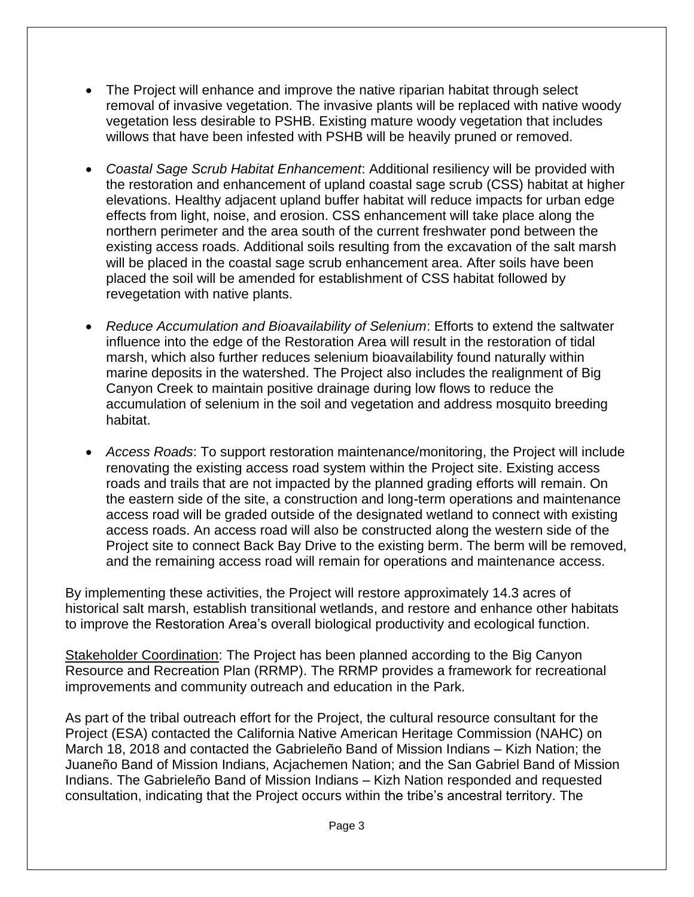- The Project will enhance and improve the native riparian habitat through select removal of invasive vegetation. The invasive plants will be replaced with native woody vegetation less desirable to PSHB. Existing mature woody vegetation that includes willows that have been infested with PSHB will be heavily pruned or removed.
- *Coastal Sage Scrub Habitat Enhancement*: Additional resiliency will be provided with the restoration and enhancement of upland coastal sage scrub (CSS) habitat at higher elevations. Healthy adjacent upland buffer habitat will reduce impacts for urban edge effects from light, noise, and erosion. CSS enhancement will take place along the northern perimeter and the area south of the current freshwater pond between the existing access roads. Additional soils resulting from the excavation of the salt marsh will be placed in the coastal sage scrub enhancement area. After soils have been placed the soil will be amended for establishment of CSS habitat followed by revegetation with native plants.
- *Reduce Accumulation and Bioavailability of Selenium*: Efforts to extend the saltwater influence into the edge of the Restoration Area will result in the restoration of tidal marsh, which also further reduces selenium bioavailability found naturally within marine deposits in the watershed. The Project also includes the realignment of Big Canyon Creek to maintain positive drainage during low flows to reduce the accumulation of selenium in the soil and vegetation and address mosquito breeding habitat.
- *Access Roads*: To support restoration maintenance/monitoring, the Project will include renovating the existing access road system within the Project site. Existing access roads and trails that are not impacted by the planned grading efforts will remain. On the eastern side of the site, a construction and long-term operations and maintenance access road will be graded outside of the designated wetland to connect with existing access roads. An access road will also be constructed along the western side of the Project site to connect Back Bay Drive to the existing berm. The berm will be removed, and the remaining access road will remain for operations and maintenance access.

By implementing these activities, the Project will restore approximately 14.3 acres of historical salt marsh, establish transitional wetlands, and restore and enhance other habitats to improve the Restoration Area's overall biological productivity and ecological function.

Stakeholder Coordination: The Project has been planned according to the Big Canyon Resource and Recreation Plan (RRMP). The RRMP provides a framework for recreational improvements and community outreach and education in the Park.

As part of the tribal outreach effort for the Project, the cultural resource consultant for the Project (ESA) contacted the California Native American Heritage Commission (NAHC) on March 18, 2018 and contacted the Gabrieleño Band of Mission Indians – Kizh Nation; the Juaneño Band of Mission Indians, Acjachemen Nation; and the San Gabriel Band of Mission Indians. The Gabrieleño Band of Mission Indians – Kizh Nation responded and requested consultation, indicating that the Project occurs within the tribe's ancestral territory. The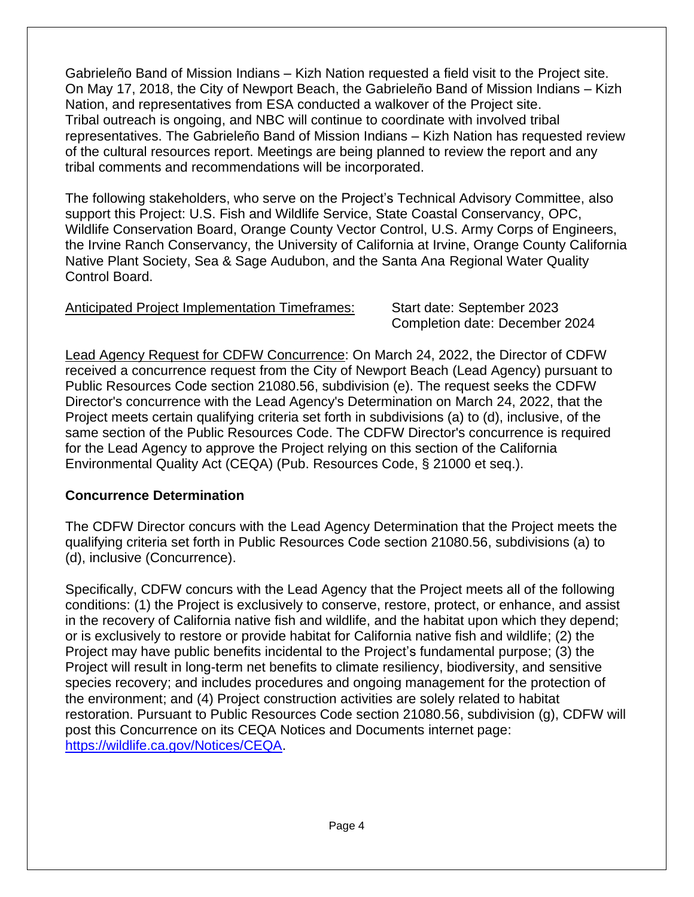Gabrieleño Band of Mission Indians – Kizh Nation requested a field visit to the Project site. On May 17, 2018, the City of Newport Beach, the Gabrieleño Band of Mission Indians – Kizh Nation, and representatives from ESA conducted a walkover of the Project site. Tribal outreach is ongoing, and NBC will continue to coordinate with involved tribal representatives. The Gabrieleño Band of Mission Indians – Kizh Nation has requested review of the cultural resources report. Meetings are being planned to review the report and any tribal comments and recommendations will be incorporated.

The following stakeholders, who serve on the Project's Technical Advisory Committee, also support this Project: U.S. Fish and Wildlife Service, State Coastal Conservancy, OPC, Wildlife Conservation Board, Orange County Vector Control, U.S. Army Corps of Engineers, the Irvine Ranch Conservancy, the University of California at Irvine, Orange County California Native Plant Society, Sea & Sage Audubon, and the Santa Ana Regional Water Quality Control Board.

## Anticipated Project Implementation Timeframes: Start date: September 2023

Completion date: December 2024

Lead Agency Request for CDFW Concurrence: On March 24, 2022, the Director of CDFW received a concurrence request from the City of Newport Beach (Lead Agency) pursuant to Public Resources Code section 21080.56, subdivision (e). The request seeks the CDFW Director's concurrence with the Lead Agency's Determination on March 24, 2022, that the Project meets certain qualifying criteria set forth in subdivisions (a) to (d), inclusive, of the same section of the Public Resources Code. The CDFW Director's concurrence is required for the Lead Agency to approve the Project relying on this section of the California Environmental Quality Act (CEQA) (Pub. Resources Code, § 21000 et seq.).

## **Concurrence Determination**

The CDFW Director concurs with the Lead Agency Determination that the Project meets the qualifying criteria set forth in Public Resources Code section 21080.56, subdivisions (a) to (d), inclusive (Concurrence).

Specifically, CDFW concurs with the Lead Agency that the Project meets all of the following conditions: (1) the Project is exclusively to conserve, restore, protect, or enhance, and assist in the recovery of California native fish and wildlife, and the habitat upon which they depend; or is exclusively to restore or provide habitat for California native fish and wildlife; (2) the Project may have public benefits incidental to the Project's fundamental purpose; (3) the Project will result in long-term net benefits to climate resiliency, biodiversity, and sensitive species recovery; and includes procedures and ongoing management for the protection of the environment; and (4) Project construction activities are solely related to habitat restoration. Pursuant to Public Resources Code section 21080.56, subdivision (g), CDFW will post this Concurrence on its CEQA Notices and Documents internet page: [https://wildlife.ca.gov/Notices/CEQA.](https://wildlife.ca.gov/Notices/CEQA)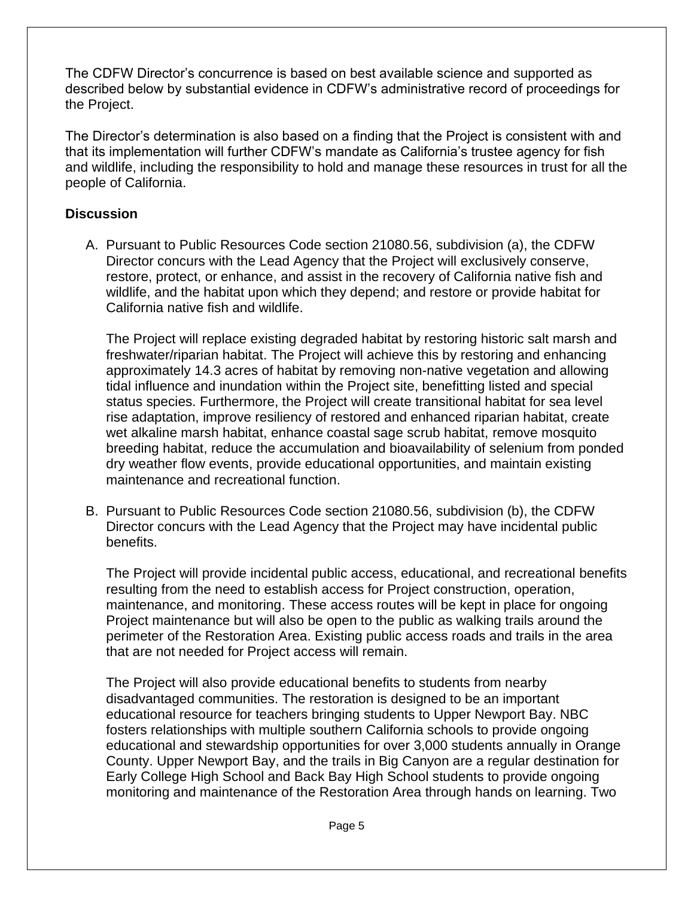The CDFW Director's concurrence is based on best available science and supported as described below by substantial evidence in CDFW's administrative record of proceedings for the Project.

The Director's determination is also based on a finding that the Project is consistent with and that its implementation will further CDFW's mandate as California's trustee agency for fish and wildlife, including the responsibility to hold and manage these resources in trust for all the people of California.

# **Discussion**

A. Pursuant to Public Resources Code section 21080.56, subdivision (a), the CDFW Director concurs with the Lead Agency that the Project will exclusively conserve, restore, protect, or enhance, and assist in the recovery of California native fish and wildlife, and the habitat upon which they depend; and restore or provide habitat for California native fish and wildlife.

The Project will replace existing degraded habitat by restoring historic salt marsh and freshwater/riparian habitat. The Project will achieve this by restoring and enhancing approximately 14.3 acres of habitat by removing non-native vegetation and allowing tidal influence and inundation within the Project site, benefitting listed and special status species. Furthermore, the Project will create transitional habitat for sea level rise adaptation, improve resiliency of restored and enhanced riparian habitat, create wet alkaline marsh habitat, enhance coastal sage scrub habitat, remove mosquito breeding habitat, reduce the accumulation and bioavailability of selenium from ponded dry weather flow events, provide educational opportunities, and maintain existing maintenance and recreational function.

B. Pursuant to Public Resources Code section 21080.56, subdivision (b), the CDFW Director concurs with the Lead Agency that the Project may have incidental public benefits.

The Project will provide incidental public access, educational, and recreational benefits resulting from the need to establish access for Project construction, operation, maintenance, and monitoring. These access routes will be kept in place for ongoing Project maintenance but will also be open to the public as walking trails around the perimeter of the Restoration Area. Existing public access roads and trails in the area that are not needed for Project access will remain.

The Project will also provide educational benefits to students from nearby disadvantaged communities. The restoration is designed to be an important educational resource for teachers bringing students to Upper Newport Bay. NBC fosters relationships with multiple southern California schools to provide ongoing educational and stewardship opportunities for over 3,000 students annually in Orange County. Upper Newport Bay, and the trails in Big Canyon are a regular destination for Early College High School and Back Bay High School students to provide ongoing monitoring and maintenance of the Restoration Area through hands on learning. Two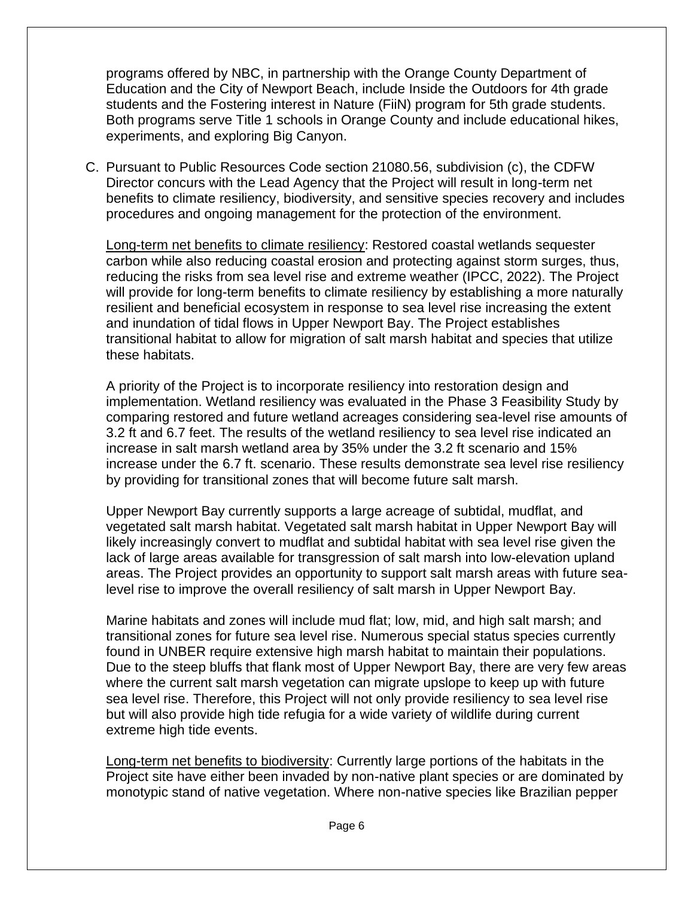programs offered by NBC, in partnership with the Orange County Department of Education and the City of Newport Beach, include Inside the Outdoors for 4th grade students and the Fostering interest in Nature (FiiN) program for 5th grade students. Both programs serve Title 1 schools in Orange County and include educational hikes, experiments, and exploring Big Canyon.

C. Pursuant to Public Resources Code section 21080.56, subdivision (c), the CDFW Director concurs with the Lead Agency that the Project will result in long-term net benefits to climate resiliency, biodiversity, and sensitive species recovery and includes procedures and ongoing management for the protection of the environment.

Long-term net benefits to climate resiliency: Restored coastal wetlands sequester carbon while also reducing coastal erosion and protecting against storm surges, thus, reducing the risks from sea level rise and extreme weather (IPCC, 2022). The Project will provide for long-term benefits to climate resiliency by establishing a more naturally resilient and beneficial ecosystem in response to sea level rise increasing the extent and inundation of tidal flows in Upper Newport Bay. The Project establishes transitional habitat to allow for migration of salt marsh habitat and species that utilize these habitats.

A priority of the Project is to incorporate resiliency into restoration design and implementation. Wetland resiliency was evaluated in the Phase 3 Feasibility Study by comparing restored and future wetland acreages considering sea-level rise amounts of 3.2 ft and 6.7 feet. The results of the wetland resiliency to sea level rise indicated an increase in salt marsh wetland area by 35% under the 3.2 ft scenario and 15% increase under the 6.7 ft. scenario. These results demonstrate sea level rise resiliency by providing for transitional zones that will become future salt marsh.

Upper Newport Bay currently supports a large acreage of subtidal, mudflat, and vegetated salt marsh habitat. Vegetated salt marsh habitat in Upper Newport Bay will likely increasingly convert to mudflat and subtidal habitat with sea level rise given the lack of large areas available for transgression of salt marsh into low-elevation upland areas. The Project provides an opportunity to support salt marsh areas with future sealevel rise to improve the overall resiliency of salt marsh in Upper Newport Bay.

Marine habitats and zones will include mud flat; low, mid, and high salt marsh; and transitional zones for future sea level rise. Numerous special status species currently found in UNBER require extensive high marsh habitat to maintain their populations. Due to the steep bluffs that flank most of Upper Newport Bay, there are very few areas where the current salt marsh vegetation can migrate upslope to keep up with future sea level rise. Therefore, this Project will not only provide resiliency to sea level rise but will also provide high tide refugia for a wide variety of wildlife during current extreme high tide events.

Long-term net benefits to biodiversity: Currently large portions of the habitats in the Project site have either been invaded by non-native plant species or are dominated by monotypic stand of native vegetation. Where non-native species like Brazilian pepper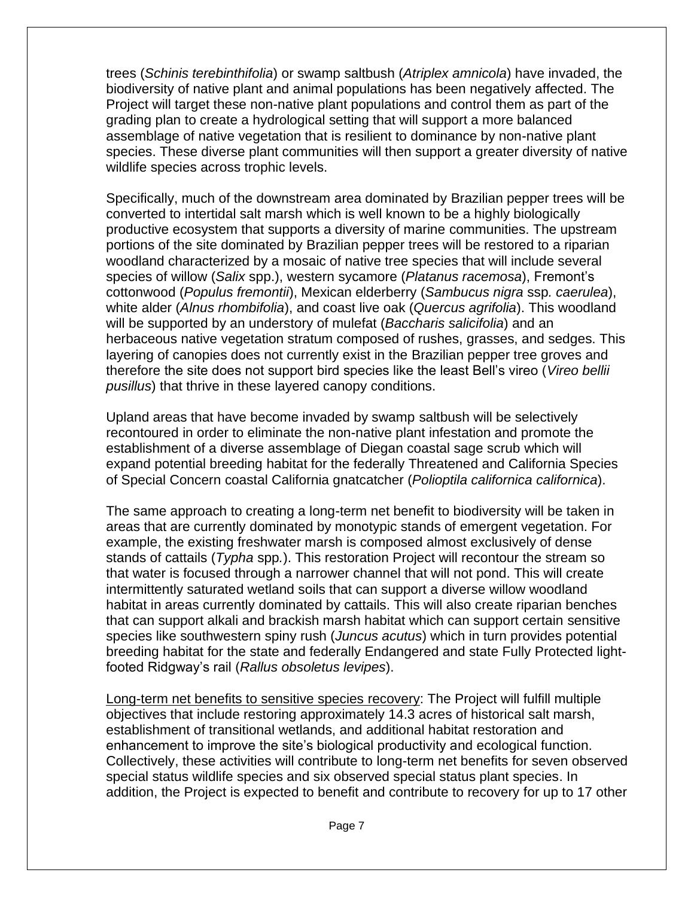trees (*Schinis terebinthifolia*) or swamp saltbush (*Atriplex amnicola*) have invaded, the biodiversity of native plant and animal populations has been negatively affected. The Project will target these non-native plant populations and control them as part of the grading plan to create a hydrological setting that will support a more balanced assemblage of native vegetation that is resilient to dominance by non-native plant species. These diverse plant communities will then support a greater diversity of native wildlife species across trophic levels.

Specifically, much of the downstream area dominated by Brazilian pepper trees will be converted to intertidal salt marsh which is well known to be a highly biologically productive ecosystem that supports a diversity of marine communities. The upstream portions of the site dominated by Brazilian pepper trees will be restored to a riparian woodland characterized by a mosaic of native tree species that will include several species of willow (*Salix* spp.), western sycamore (*Platanus racemosa*), Fremont's cottonwood (*Populus fremontii*), Mexican elderberry (*Sambucus nigra* ssp*. caerulea*), white alder (*Alnus rhombifolia*), and coast live oak (*Quercus agrifolia*). This woodland will be supported by an understory of mulefat (*Baccharis salicifolia*) and an herbaceous native vegetation stratum composed of rushes, grasses, and sedges. This layering of canopies does not currently exist in the Brazilian pepper tree groves and therefore the site does not support bird species like the least Bell's vireo (*Vireo bellii pusillus*) that thrive in these layered canopy conditions.

Upland areas that have become invaded by swamp saltbush will be selectively recontoured in order to eliminate the non-native plant infestation and promote the establishment of a diverse assemblage of Diegan coastal sage scrub which will expand potential breeding habitat for the federally Threatened and California Species of Special Concern coastal California gnatcatcher (*Polioptila californica californica*).

The same approach to creating a long-term net benefit to biodiversity will be taken in areas that are currently dominated by monotypic stands of emergent vegetation. For example, the existing freshwater marsh is composed almost exclusively of dense stands of cattails (*Typha* spp*.*). This restoration Project will recontour the stream so that water is focused through a narrower channel that will not pond. This will create intermittently saturated wetland soils that can support a diverse willow woodland habitat in areas currently dominated by cattails. This will also create riparian benches that can support alkali and brackish marsh habitat which can support certain sensitive species like southwestern spiny rush (*Juncus acutus*) which in turn provides potential breeding habitat for the state and federally Endangered and state Fully Protected lightfooted Ridgway's rail (*Rallus obsoletus levipes*).

Long-term net benefits to sensitive species recovery: The Project will fulfill multiple objectives that include restoring approximately 14.3 acres of historical salt marsh, establishment of transitional wetlands, and additional habitat restoration and enhancement to improve the site's biological productivity and ecological function. Collectively, these activities will contribute to long-term net benefits for seven observed special status wildlife species and six observed special status plant species. In addition, the Project is expected to benefit and contribute to recovery for up to 17 other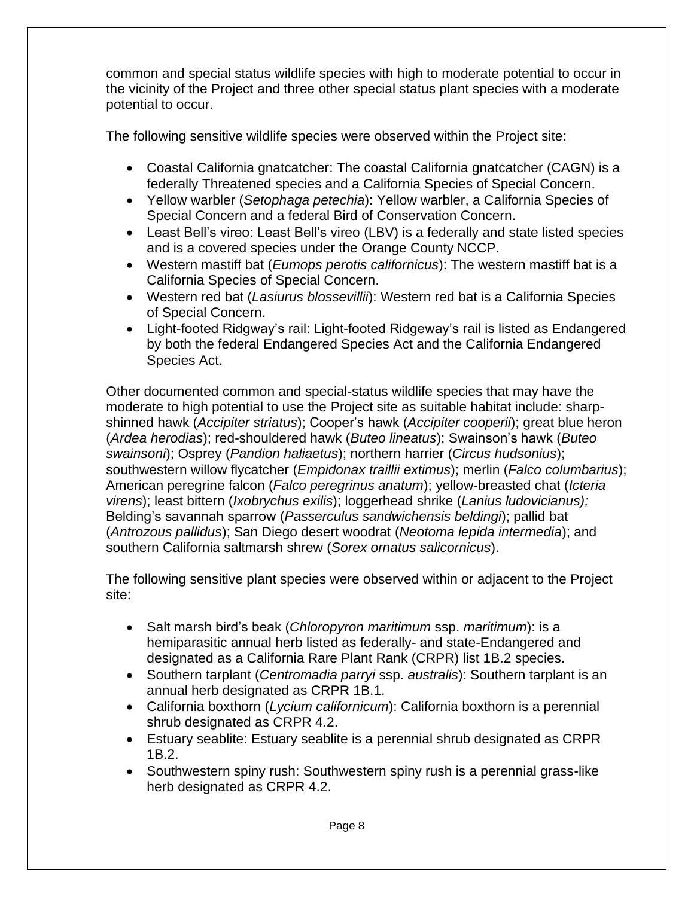common and special status wildlife species with high to moderate potential to occur in the vicinity of the Project and three other special status plant species with a moderate potential to occur.

The following sensitive wildlife species were observed within the Project site:

- Coastal California gnatcatcher: The coastal California gnatcatcher (CAGN) is a federally Threatened species and a California Species of Special Concern.
- Yellow warbler (*Setophaga petechia*): Yellow warbler, a California Species of Special Concern and a federal Bird of Conservation Concern.
- Least Bell's vireo: Least Bell's vireo (LBV) is a federally and state listed species and is a covered species under the Orange County NCCP.
- Western mastiff bat (*Eumops perotis californicus*): The western mastiff bat is a California Species of Special Concern.
- Western red bat (*Lasiurus blossevillii*): Western red bat is a California Species of Special Concern.
- Light-footed Ridgway's rail: Light-footed Ridgeway's rail is listed as Endangered by both the federal Endangered Species Act and the California Endangered Species Act.

Other documented common and special-status wildlife species that may have the moderate to high potential to use the Project site as suitable habitat include: sharpshinned hawk (*Accipiter striatus*); Cooper's hawk (*Accipiter cooperii*); great blue heron (*Ardea herodias*); red-shouldered hawk (*Buteo lineatus*); Swainson's hawk (*Buteo swainsoni*); Osprey (*Pandion haliaetus*); northern harrier (*Circus hudsonius*); southwestern willow flycatcher (*Empidonax traillii extimus*); merlin (*Falco columbarius*); American peregrine falcon (*Falco peregrinus anatum*); yellow-breasted chat (*Icteria virens*); least bittern (*Ixobrychus exilis*); loggerhead shrike (*Lanius ludovicianus);* Belding's savannah sparrow (*Passerculus sandwichensis beldingi*); pallid bat (*Antrozous pallidus*); San Diego desert woodrat (*Neotoma lepida intermedia*); and southern California saltmarsh shrew (*Sorex ornatus salicornicus*).

The following sensitive plant species were observed within or adjacent to the Project site:

- Salt marsh bird's beak (*Chloropyron maritimum* ssp. *maritimum*): is a hemiparasitic annual herb listed as federally- and state-Endangered and designated as a California Rare Plant Rank (CRPR) list 1B.2 species.
- Southern tarplant (*Centromadia parryi* ssp. *australis*): Southern tarplant is an annual herb designated as CRPR 1B.1.
- California boxthorn (*Lycium californicum*): California boxthorn is a perennial shrub designated as CRPR 4.2.
- Estuary seablite: Estuary seablite is a perennial shrub designated as CRPR 1B.2.
- Southwestern spiny rush: Southwestern spiny rush is a perennial grass-like herb designated as CRPR 4.2.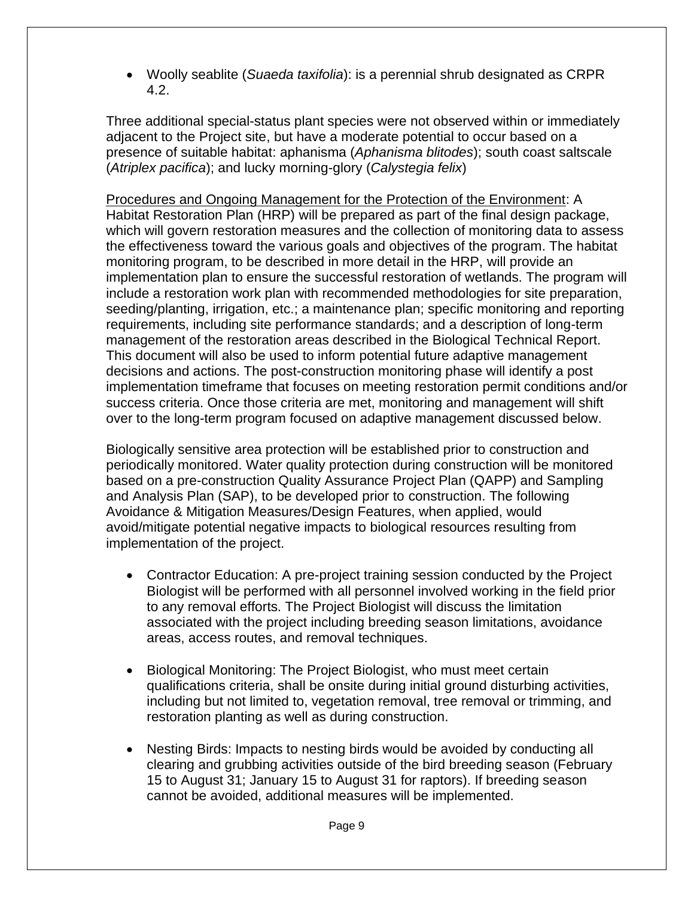• Woolly seablite (*Suaeda taxifolia*): is a perennial shrub designated as CRPR 4.2.

Three additional special-status plant species were not observed within or immediately adjacent to the Project site, but have a moderate potential to occur based on a presence of suitable habitat: aphanisma (*Aphanisma blitodes*); south coast saltscale (*Atriplex pacifica*); and lucky morning-glory (*Calystegia felix*)

Procedures and Ongoing Management for the Protection of the Environment: A Habitat Restoration Plan (HRP) will be prepared as part of the final design package, which will govern restoration measures and the collection of monitoring data to assess the effectiveness toward the various goals and objectives of the program. The habitat monitoring program, to be described in more detail in the HRP, will provide an implementation plan to ensure the successful restoration of wetlands. The program will include a restoration work plan with recommended methodologies for site preparation, seeding/planting, irrigation, etc.; a maintenance plan; specific monitoring and reporting requirements, including site performance standards; and a description of long-term management of the restoration areas described in the Biological Technical Report. This document will also be used to inform potential future adaptive management decisions and actions. The post-construction monitoring phase will identify a post implementation timeframe that focuses on meeting restoration permit conditions and/or success criteria. Once those criteria are met, monitoring and management will shift over to the long-term program focused on adaptive management discussed below.

Biologically sensitive area protection will be established prior to construction and periodically monitored. Water quality protection during construction will be monitored based on a pre-construction Quality Assurance Project Plan (QAPP) and Sampling and Analysis Plan (SAP), to be developed prior to construction. The following Avoidance & Mitigation Measures/Design Features, when applied, would avoid/mitigate potential negative impacts to biological resources resulting from implementation of the project.

- Contractor Education: A pre-project training session conducted by the Project Biologist will be performed with all personnel involved working in the field prior to any removal efforts. The Project Biologist will discuss the limitation associated with the project including breeding season limitations, avoidance areas, access routes, and removal techniques.
- Biological Monitoring: The Project Biologist, who must meet certain qualifications criteria, shall be onsite during initial ground disturbing activities, including but not limited to, vegetation removal, tree removal or trimming, and restoration planting as well as during construction.
- Nesting Birds: Impacts to nesting birds would be avoided by conducting all clearing and grubbing activities outside of the bird breeding season (February 15 to August 31; January 15 to August 31 for raptors). If breeding season cannot be avoided, additional measures will be implemented.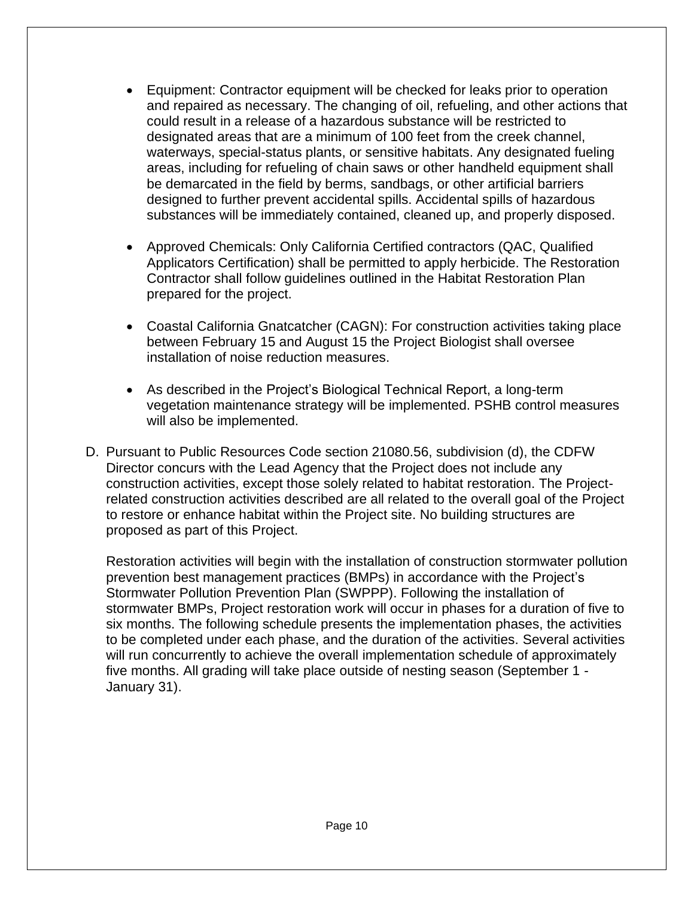- Equipment: Contractor equipment will be checked for leaks prior to operation and repaired as necessary. The changing of oil, refueling, and other actions that could result in a release of a hazardous substance will be restricted to designated areas that are a minimum of 100 feet from the creek channel, waterways, special-status plants, or sensitive habitats. Any designated fueling areas, including for refueling of chain saws or other handheld equipment shall be demarcated in the field by berms, sandbags, or other artificial barriers designed to further prevent accidental spills. Accidental spills of hazardous substances will be immediately contained, cleaned up, and properly disposed.
- Approved Chemicals: Only California Certified contractors (QAC, Qualified Applicators Certification) shall be permitted to apply herbicide. The Restoration Contractor shall follow guidelines outlined in the Habitat Restoration Plan prepared for the project.
- Coastal California Gnatcatcher (CAGN): For construction activities taking place between February 15 and August 15 the Project Biologist shall oversee installation of noise reduction measures.
- As described in the Project's Biological Technical Report, a long-term vegetation maintenance strategy will be implemented. PSHB control measures will also be implemented.
- D. Pursuant to Public Resources Code section 21080.56, subdivision (d), the CDFW Director concurs with the Lead Agency that the Project does not include any construction activities, except those solely related to habitat restoration. The Projectrelated construction activities described are all related to the overall goal of the Project to restore or enhance habitat within the Project site. No building structures are proposed as part of this Project.

Restoration activities will begin with the installation of construction stormwater pollution prevention best management practices (BMPs) in accordance with the Project's Stormwater Pollution Prevention Plan (SWPPP). Following the installation of stormwater BMPs, Project restoration work will occur in phases for a duration of five to six months. The following schedule presents the implementation phases, the activities to be completed under each phase, and the duration of the activities. Several activities will run concurrently to achieve the overall implementation schedule of approximately five months. All grading will take place outside of nesting season (September 1 - January 31).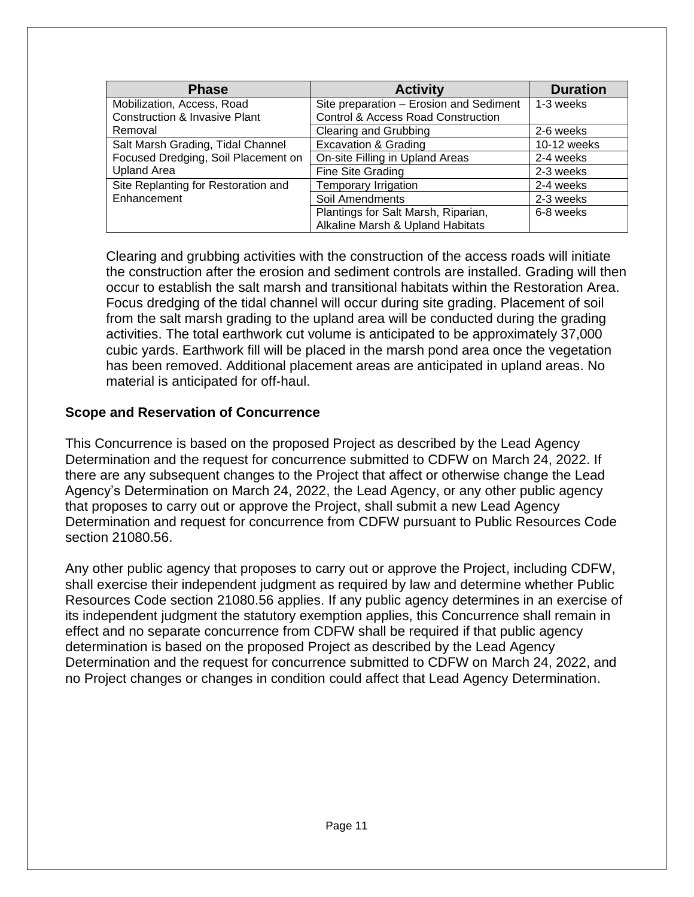| <b>Phase</b>                             | <b>Activity</b>                         | <b>Duration</b> |
|------------------------------------------|-----------------------------------------|-----------------|
| Mobilization, Access, Road               | Site preparation - Erosion and Sediment | 1-3 weeks       |
| <b>Construction &amp; Invasive Plant</b> | Control & Access Road Construction      |                 |
| Removal                                  | Clearing and Grubbing                   | 2-6 weeks       |
| Salt Marsh Grading, Tidal Channel        | <b>Excavation &amp; Grading</b>         | 10-12 weeks     |
| Focused Dredging, Soil Placement on      | On-site Filling in Upland Areas         | 2-4 weeks       |
| <b>Upland Area</b>                       | Fine Site Grading                       | 2-3 weeks       |
| Site Replanting for Restoration and      | Temporary Irrigation                    | 2-4 weeks       |
| Enhancement                              | Soil Amendments                         | 2-3 weeks       |
|                                          | Plantings for Salt Marsh, Riparian,     | 6-8 weeks       |
|                                          | Alkaline Marsh & Upland Habitats        |                 |

Clearing and grubbing activities with the construction of the access roads will initiate the construction after the erosion and sediment controls are installed. Grading will then occur to establish the salt marsh and transitional habitats within the Restoration Area. Focus dredging of the tidal channel will occur during site grading. Placement of soil from the salt marsh grading to the upland area will be conducted during the grading activities. The total earthwork cut volume is anticipated to be approximately 37,000 cubic yards. Earthwork fill will be placed in the marsh pond area once the vegetation has been removed. Additional placement areas are anticipated in upland areas. No material is anticipated for off-haul.

#### **Scope and Reservation of Concurrence**

This Concurrence is based on the proposed Project as described by the Lead Agency Determination and the request for concurrence submitted to CDFW on March 24, 2022. If there are any subsequent changes to the Project that affect or otherwise change the Lead Agency's Determination on March 24, 2022, the Lead Agency, or any other public agency that proposes to carry out or approve the Project, shall submit a new Lead Agency Determination and request for concurrence from CDFW pursuant to Public Resources Code section 21080.56.

Any other public agency that proposes to carry out or approve the Project, including CDFW, shall exercise their independent judgment as required by law and determine whether Public Resources Code section 21080.56 applies. If any public agency determines in an exercise of its independent judgment the statutory exemption applies, this Concurrence shall remain in effect and no separate concurrence from CDFW shall be required if that public agency determination is based on the proposed Project as described by the Lead Agency Determination and the request for concurrence submitted to CDFW on March 24, 2022, and no Project changes or changes in condition could affect that Lead Agency Determination.